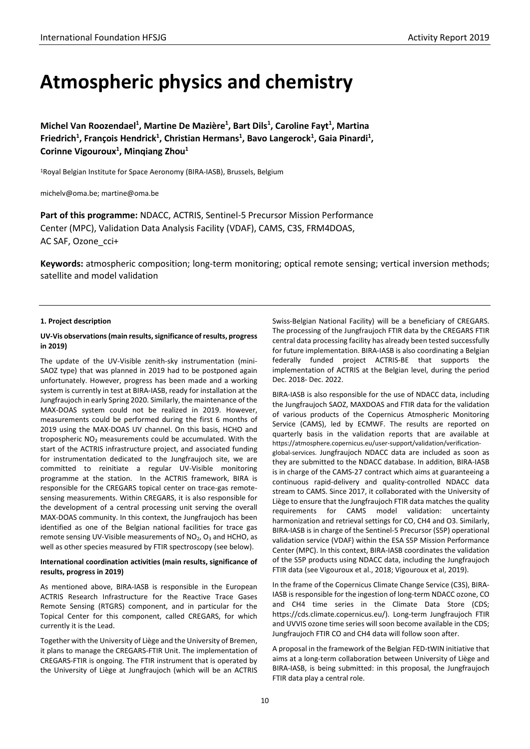# **Atmospheric physics and chemistry**

Michel Van Roozendael<sup>1</sup>, Martine De Mazière<sup>1</sup>, Bart Dils<sup>1</sup>, Caroline Fayt<sup>1</sup>, Martina Friedrich<sup>1</sup>, François Hendrick<sup>1</sup>, Christian Hermans<sup>1</sup>, Bavo Langerock<sup>1</sup>, Gaia Pinardi<sup>1</sup>, **Corinne Vigouroux1 , Minqiang Zhou1**

1Royal Belgian Institute for Space Aeronomy (BIRA-IASB), Brussels, Belgium

michelv@oma.be; martine@oma.be

**Part of this programme:** NDACC, ACTRIS, Sentinel-5 Precursor Mission Performance Center (MPC), Validation Data Analysis Facility (VDAF), CAMS, C3S, FRM4DOAS, AC SAF, Ozone\_cci+

**Keywords:** atmospheric composition; long-term monitoring; optical remote sensing; vertical inversion methods; satellite and model validation

## **1. Project description**

# **UV-Vis observations (main results, significance of results, progress in 2019)**

The update of the UV-Visible zenith-sky instrumentation (mini-SAOZ type) that was planned in 2019 had to be postponed again unfortunately. However, progress has been made and a working system is currently in test at BIRA-IASB, ready for installation at the Jungfraujoch in early Spring 2020. Similarly, the maintenance of the MAX-DOAS system could not be realized in 2019. However, measurements could be performed during the first 6 months of 2019 using the MAX-DOAS UV channel. On this basis, HCHO and tropospheric  $NO<sub>2</sub>$  measurements could be accumulated. With the start of the ACTRIS infrastructure project, and associated funding for instrumentation dedicated to the Jungfraujoch site, we are committed to reinitiate a regular UV-Visible monitoring programme at the station. In the ACTRIS framework, BIRA is responsible for the CREGARS topical center on trace-gas remotesensing measurements. Within CREGARS, it is also responsible for the development of a central processing unit serving the overall MAX-DOAS community. In this context, the Jungfraujoch has been identified as one of the Belgian national facilities for trace gas remote sensing UV-Visible measurements of  $NO<sub>2</sub>$ ,  $O<sub>3</sub>$  and HCHO, as well as other species measured by FTIR spectroscopy (see below).

# **International coordination activities (main results, significance of results, progress in 2019)**

As mentioned above, BIRA-IASB is responsible in the European ACTRIS Research Infrastructure for the Reactive Trace Gases Remote Sensing (RTGRS) component, and in particular for the Topical Center for this component, called CREGARS, for which currently it is the Lead.

Together with the University of Liège and the University of Bremen, it plans to manage the CREGARS-FTIR Unit. The implementation of CREGARS-FTIR is ongoing. The FTIR instrument that is operated by the University of Liège at Jungfraujoch (which will be an ACTRIS

Swiss-Belgian National Facility) will be a beneficiary of CREGARS. The processing of the Jungfraujoch FTIR data by the CREGARS FTIR central data processing facility has already been tested successfully for future implementation. BIRA-IASB is also coordinating a Belgian federally funded project ACTRIS-BE that supports the implementation of ACTRIS at the Belgian level, during the period Dec. 2018- Dec. 2022.

BIRA-IASB is also responsible for the use of NDACC data, including the Jungfraujoch SAOZ, MAXDOAS and FTIR data for the validation of various products of the Copernicus Atmospheric Monitoring Service (CAMS), led by ECMWF. The results are reported on quarterly basis in the validation reports that are available at https://atmosphere.copernicus.eu/user-support/validation/verificationglobal-services. Jungfraujoch NDACC data are included as soon as they are submitted to the NDACC database. In addition, BIRA-IASB is in charge of the CAMS-27 contract which aims at guaranteeing a continuous rapid-delivery and quality-controlled NDACC data stream to CAMS. Since 2017, it collaborated with the University of Liège to ensure that the Jungfraujoch FTIR data matches the quality requirements for CAMS model validation: uncertainty harmonization and retrieval settings for CO, CH4 and O3. Similarly, BIRA-IASB is in charge of the Sentinel-5 Precursor (S5P) operational validation service (VDAF) within the ESA S5P Mission Performance Center (MPC). In this context, BIRA-IASB coordinates the validation of the S5P products using NDACC data, including the Jungfraujoch FTIR data (see Vigouroux et al., 2018; Vigouroux et al, 2019).

In the frame of the Copernicus Climate Change Service (C3S), BIRA-IASB is responsible for the ingestion of long-term NDACC ozone, CO and CH4 time series in the Climate Data Store (CDS; [https://cds.climate.copernicus.eu/\)](https://cds.climate.copernicus.eu/). Long-term Jungfraujoch FTIR and UVVIS ozone time series will soon become available in the CDS; Jungfraujoch FTIR CO and CH4 data will follow soon after.

A proposal in the framework of the Belgian FED-tWIN initiative that aims at a long-term collaboration between University of Liège and BIRA-IASB, is being submitted: in this proposal, the Jungfraujoch FTIR data play a central role.